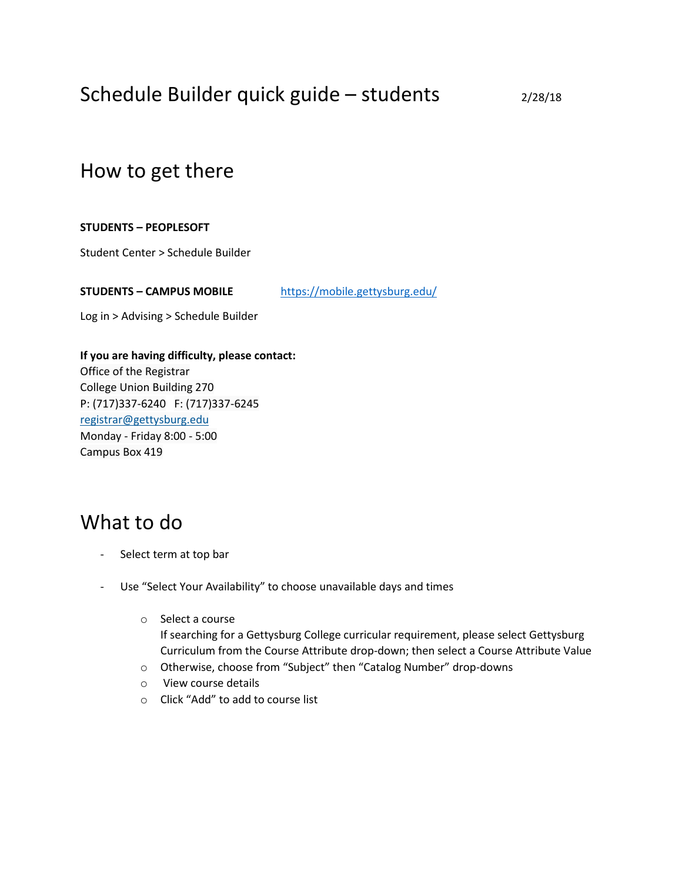# Schedule Builder quick guide – students  $2/28/18$

### How to get there

#### **STUDENTS – PEOPLESOFT**

Student Center > Schedule Builder

**STUDENTS – CAMPUS MOBILE** <https://mobile.gettysburg.edu/>

Log in > Advising > Schedule Builder

**If you are having difficulty, please contact:** Office of the Registrar College Union Building 270 P: (717)337-6240 F: (717)337-6245 [registrar@gettysburg.edu](mailto:registrar@gettysburg.edu) Monday - Friday 8:00 - 5:00 Campus Box 419

## What to do

- Select term at top bar
- Use "Select Your Availability" to choose unavailable days and times
	- o Select a course If searching for a Gettysburg College curricular requirement, please select Gettysburg Curriculum from the Course Attribute drop-down; then select a Course Attribute Value
	- o Otherwise, choose from "Subject" then "Catalog Number" drop-downs
	- o View course details
	- o Click "Add" to add to course list